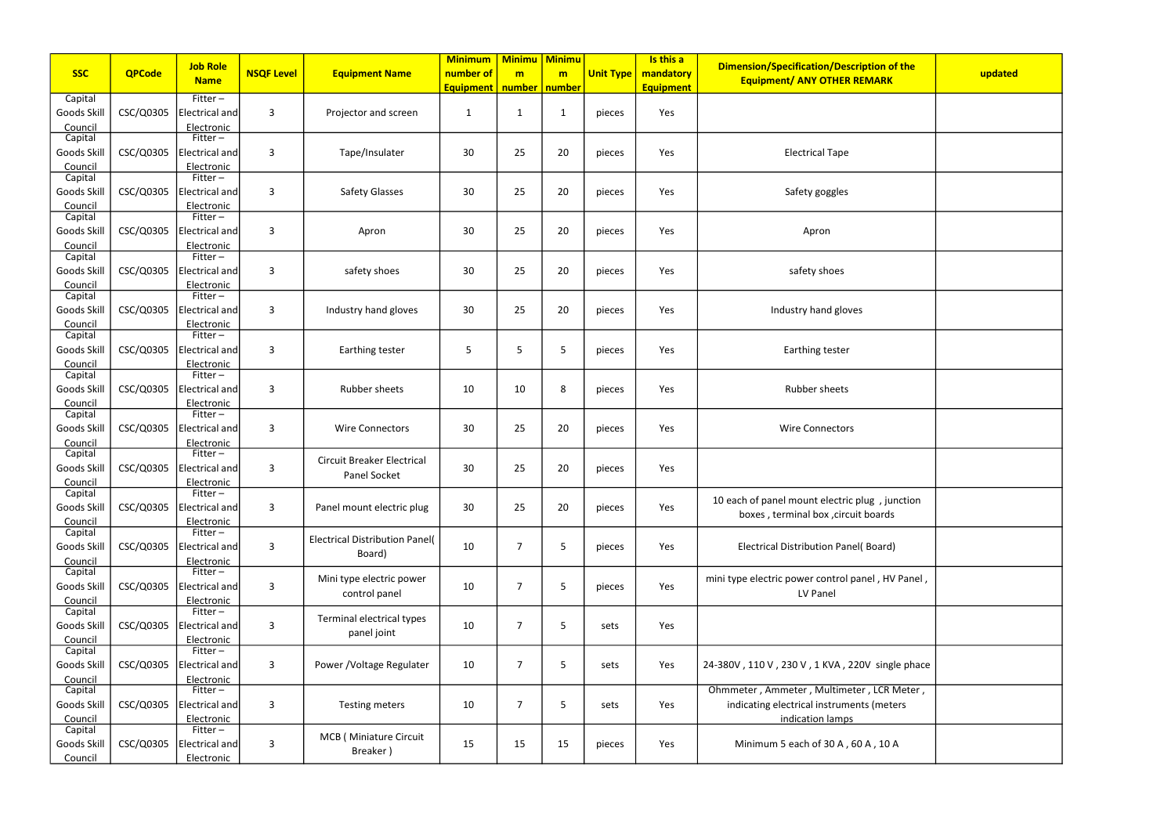| <b>SSC</b>         | <b>QPCode</b> | <b>Job Role</b>          | <b>NSQF Level</b> | <b>Equipment Name</b>                 | <b>Minimum</b><br>number of | <b>Minimu</b><br>m | <b>Minimu</b><br>m | <b>Unit Type</b> | Is this a<br>mandatory | <b>Dimension/Specification/Description of the</b> | updated |
|--------------------|---------------|--------------------------|-------------------|---------------------------------------|-----------------------------|--------------------|--------------------|------------------|------------------------|---------------------------------------------------|---------|
|                    |               | <b>Name</b>              |                   |                                       | <b>Equipment</b>            | number   number    |                    |                  | <b>Equipment</b>       | <b>Equipment/ ANY OTHER REMARK</b>                |         |
| Capital            |               | Fitter $-$               |                   |                                       |                             |                    |                    |                  |                        |                                                   |         |
| Goods Skill        | CSC/Q0305     | Electrical and           | 3                 | Projector and screen                  | $\mathbf{1}$                | $\mathbf{1}$       | $\mathbf{1}$       | pieces           | Yes                    |                                                   |         |
| Council<br>Capital |               | Electronic<br>$Fitter-$  |                   |                                       |                             |                    |                    |                  |                        |                                                   |         |
| Goods Skill        | CSC/Q0305     | Electrical and           | 3                 | Tape/Insulater                        | 30                          | 25                 | 20                 | pieces           | Yes                    | <b>Electrical Tape</b>                            |         |
| Council            |               | Electronic               |                   |                                       |                             |                    |                    |                  |                        |                                                   |         |
| Capital            |               | $Fitter -$               |                   |                                       |                             |                    |                    |                  |                        |                                                   |         |
| Goods Skill        | CSC/Q0305     | Electrical and           | 3                 | <b>Safety Glasses</b>                 | 30                          | 25                 | 20                 | pieces           | Yes                    | Safety goggles                                    |         |
| Council            |               | Electronic               |                   |                                       |                             |                    |                    |                  |                        |                                                   |         |
| Capital            |               | Fitter $-$               |                   |                                       |                             |                    |                    |                  |                        |                                                   |         |
| Goods Skill        | CSC/Q0305     | Electrical and           | 3                 | Apron                                 | 30                          | 25                 | 20                 | pieces           | Yes                    | Apron                                             |         |
| Council            |               | Electronic               |                   |                                       |                             |                    |                    |                  |                        |                                                   |         |
| Capital            |               | $Fitter-$                |                   |                                       |                             |                    |                    |                  |                        |                                                   |         |
| Goods Skill        | CSC/Q0305     | Electrical and           | 3                 | safety shoes                          | 30                          | 25                 | 20                 | pieces           | Yes                    | safety shoes                                      |         |
| Council<br>Capital |               | Electronic<br>$Fitter-$  |                   |                                       |                             |                    |                    |                  |                        |                                                   |         |
| Goods Skill        | CSC/Q0305     | Electrical and           | 3                 | Industry hand gloves                  | 30                          | 25                 | 20                 | pieces           | Yes                    | Industry hand gloves                              |         |
| Council            |               | Electronic               |                   |                                       |                             |                    |                    |                  |                        |                                                   |         |
| Capital            |               | Fitter $-$               |                   |                                       |                             |                    |                    |                  |                        |                                                   |         |
| Goods Skill        | CSC/Q0305     | Electrical and           | 3                 | Earthing tester                       | 5                           | 5                  | 5                  | pieces           | Yes                    | Earthing tester                                   |         |
| Council            |               | Electronic               |                   |                                       |                             |                    |                    |                  |                        |                                                   |         |
| Capital            |               | $Fitter-$                |                   |                                       |                             |                    |                    |                  |                        |                                                   |         |
| Goods Skill        | CSC/Q0305     | Electrical and           | 3                 | Rubber sheets                         | 10                          | 10                 | 8                  | pieces           | Yes                    | Rubber sheets                                     |         |
| Council            |               | Electronic               |                   |                                       |                             |                    |                    |                  |                        |                                                   |         |
| Capital            |               | $Fitter -$               |                   |                                       |                             |                    |                    |                  |                        |                                                   |         |
| Goods Skill        | CSC/Q0305     | Electrical and           | 3                 | <b>Wire Connectors</b>                | 30                          | 25                 | 20                 | pieces           | Yes                    | <b>Wire Connectors</b>                            |         |
| Council<br>Capital |               | Electronic<br>Fitter $-$ |                   |                                       |                             |                    |                    |                  |                        |                                                   |         |
| Goods Skill        | CSC/Q0305     | Electrical and           | 3                 | <b>Circuit Breaker Electrical</b>     | 30                          | 25                 | 20                 | pieces           | Yes                    |                                                   |         |
| Council            |               | Electronic               |                   | Panel Socket                          |                             |                    |                    |                  |                        |                                                   |         |
| Capital            |               | $Fitter -$               |                   |                                       |                             |                    |                    |                  |                        |                                                   |         |
| Goods Skill        | CSC/Q0305     | Electrical and           | 3                 | Panel mount electric plug             | 30                          | 25                 | 20                 | pieces           | Yes                    | 10 each of panel mount electric plug, junction    |         |
| Council            |               | Electronic               |                   |                                       |                             |                    |                    |                  |                        | boxes, terminal box, circuit boards               |         |
| Capital            |               | $Fitter -$               |                   | <b>Electrical Distribution Panel(</b> |                             |                    |                    |                  |                        |                                                   |         |
| Goods Skill        | CSC/Q0305     | Electrical and           | 3                 | Board)                                | 10                          | 7                  | 5                  | pieces           | Yes                    | <b>Electrical Distribution Panel(Board)</b>       |         |
| Council            |               | Electronic               |                   |                                       |                             |                    |                    |                  |                        |                                                   |         |
| Capital            |               | $Fitter -$               |                   | Mini type electric power              |                             |                    |                    |                  |                        | mini type electric power control panel, HV Panel, |         |
| Goods Skill        | CSC/Q0305     | [lectrical and<br>ΙF     | 3                 | control panel                         | 10                          | 7                  | 5                  | pieces           | Yes                    | LV Panel                                          |         |
| Council<br>Capital |               | Electronic<br>$Fitter -$ |                   |                                       |                             |                    |                    |                  |                        |                                                   |         |
| Goods Skill        | CSC/Q0305     | Electrical and           | $\mathsf{3}$      | Terminal electrical types             | 10                          | $\overline{7}$     | 5                  | sets             | Yes                    |                                                   |         |
| Council            |               | Electronic               |                   | panel joint                           |                             |                    |                    |                  |                        |                                                   |         |
| Capital            |               | $Fitter-$                |                   |                                       |                             |                    |                    |                  |                        |                                                   |         |
| Goods Skill        | CSC/Q0305     | Electrical and           | 3                 | Power / Voltage Regulater             | 10                          | 7                  | 5                  | sets             | Yes                    | 24-380V, 110 V, 230 V, 1 KVA, 220V single phace   |         |
| Council            |               | Electronic               |                   |                                       |                             |                    |                    |                  |                        |                                                   |         |
| Capital            |               | $Fitter-$                |                   |                                       |                             |                    |                    |                  |                        | Ohmmeter, Ammeter, Multimeter, LCR Meter,         |         |
| Goods Skill        | CSC/Q0305     | Electrical and           | 3                 | <b>Testing meters</b>                 | 10                          | 7                  | 5                  | sets             | Yes                    | indicating electrical instruments (meters         |         |
| Council            |               | Electronic               |                   |                                       |                             |                    |                    |                  |                        | indication lamps                                  |         |
| Capital            |               | $Fitter -$               |                   | MCB (Miniature Circuit                |                             |                    |                    |                  |                        |                                                   |         |
| Goods Skill        | CSC/Q0305     | Electrical and           | 3                 | Breaker)                              | 15                          | 15                 | 15                 | pieces           | Yes                    | Minimum 5 each of 30 A, 60 A, 10 A                |         |
| Council            |               | Electronic               |                   |                                       |                             |                    |                    |                  |                        |                                                   |         |

| <mark>otion of the</mark><br><b>MARK</b> | updated |
|------------------------------------------|---------|
|                                          |         |
|                                          |         |
|                                          |         |
|                                          |         |
|                                          |         |
|                                          |         |
|                                          |         |
|                                          |         |
|                                          |         |
|                                          |         |
| ug, junction<br>boards                   |         |
| Board)                                   |         |
| el, HV Panel,                            |         |
|                                          |         |
| V single phace                           |         |
| , LCR Meter,<br>s (meters                |         |
| A, 10 A                                  |         |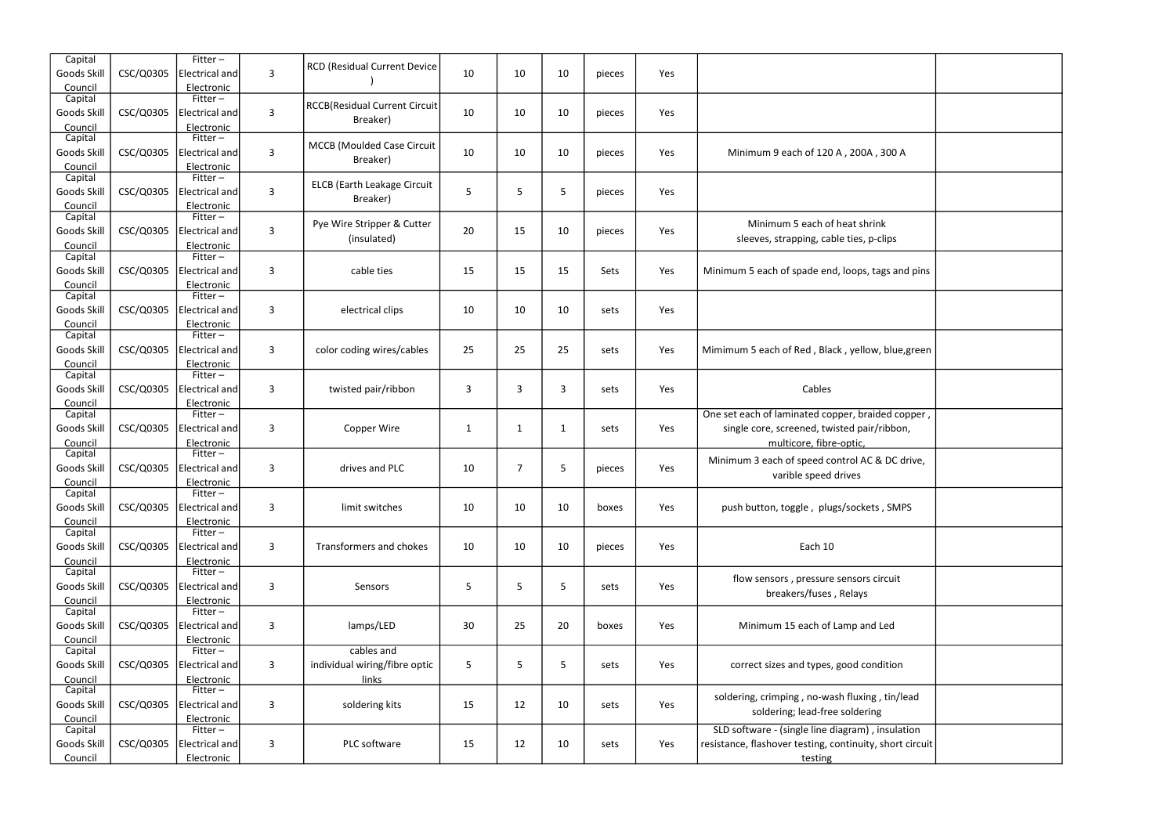| Capital<br>Goods Skill<br>Council | CSC/Q0305 | $Fitter -$<br><b>Electrical and</b><br>Electronic | $\overline{3}$ | <b>RCD (Residual Current Device</b>                  | 10 | 10             | 10 | pieces | Yes |                                                                                                                             |
|-----------------------------------|-----------|---------------------------------------------------|----------------|------------------------------------------------------|----|----------------|----|--------|-----|-----------------------------------------------------------------------------------------------------------------------------|
| Capital<br>Goods Skill<br>Council | CSC/Q0305 | Fitter $-$<br><b>Electrical and</b><br>Electronic | $\overline{3}$ | <b>RCCB(Residual Current Circuit</b><br>Breaker)     | 10 | 10             | 10 | pieces | Yes |                                                                                                                             |
| Capital<br>Goods Skill<br>Council | CSC/Q0305 | $Fitter -$<br>Electrical and<br>Electronic        | 3              | MCCB (Moulded Case Circuit<br>Breaker)               | 10 | 10             | 10 | pieces | Yes | Minimum 9 each of 120 A, 200A, 300 A                                                                                        |
| Capital<br>Goods Skill<br>Council | CSC/Q0305 | Fitter $-$<br><b>Electrical and</b><br>Electronic | $\mathbf{3}$   | <b>ELCB (Earth Leakage Circuit</b><br>Breaker)       | 5  | 5              | 5  | pieces | Yes |                                                                                                                             |
| Capital<br>Goods Skill<br>Council | CSC/Q0305 | Fitter-<br><b>Electrical and</b><br>Electronic    | $\overline{3}$ | Pye Wire Stripper & Cutter<br>(insulated)            | 20 | 15             | 10 | pieces | Yes | Minimum 5 each of heat shrink<br>sleeves, strapping, cable ties, p-clips                                                    |
| Capital<br>Goods Skill<br>Council | CSC/Q0305 | Fitter $-$<br>Electrical and<br>Electronic        | 3              | cable ties                                           | 15 | 15             | 15 | Sets   | Yes | Minimum 5 each of spade end, loops, tags and pins                                                                           |
| Capital<br>Goods Skill<br>Council | CSC/Q0305 | Fitter $-$<br><b>Electrical and</b><br>Electronic | 3              | electrical clips                                     | 10 | 10             | 10 | sets   | Yes |                                                                                                                             |
| Capital<br>Goods Skill<br>Council | CSC/Q0305 | Fitter-<br><b>Electrical and</b><br>Electronic    | $\overline{3}$ | color coding wires/cables                            | 25 | 25             | 25 | sets   | Yes | Mimimum 5 each of Red, Black, yellow, blue, green                                                                           |
| Capital<br>Goods Skill<br>Council | CSC/Q0305 | Fitter $-$<br>Electrical and<br>Electronic        | 3              | twisted pair/ribbon                                  | 3  | 3              | 3  | sets   | Yes | Cables                                                                                                                      |
| Capital<br>Goods Skill<br>Council | CSC/Q0305 | Fitter $-$<br><b>Electrical and</b><br>Electronic | 3              | Copper Wire                                          | 1  | $\mathbf{1}$   | 1  | sets   | Yes | One set each of laminated copper, braided copper,<br>single core, screened, twisted pair/ribbon,<br>multicore, fibre-optic, |
| Capital<br>Goods Skill<br>Council | CSC/Q0305 | Fitter-<br><b>Electrical and</b><br>Electronic    | 3              | drives and PLC                                       | 10 | $\overline{7}$ | 5  | pieces | Yes | Minimum 3 each of speed control AC & DC drive,<br>varible speed drives                                                      |
| Capital<br>Goods Skill<br>Council | CSC/Q0305 | $Fitter -$<br>Electrical and<br>Electronic        | 3              | limit switches                                       | 10 | 10             | 10 | boxes  | Yes | push button, toggle, plugs/sockets, SMPS                                                                                    |
| Capital<br>Goods Skill<br>Council | CSC/Q0305 | $Fitter-$<br>Electrical and<br>Electronic         | 3              | Transformers and chokes                              | 10 | 10             | 10 | pieces | Yes | Each 10                                                                                                                     |
| Capital<br>Goods Skill<br>Council | CSC/Q0305 | $Fitter -$<br><b>Electrical and</b><br>Electronic | 3              | Sensors                                              | 5  | 5              | 5  | sets   | Yes | flow sensors, pressure sensors circuit<br>breakers/fuses, Relays                                                            |
| Capital<br>Goods Skill<br>Council | CSC/Q0305 | $Fitter-$<br>Electrical and<br>Electronic         | 3              | lamps/LED                                            | 30 | 25             | 20 | boxes  | Yes | Minimum 15 each of Lamp and Led                                                                                             |
| Capital<br>Goods Skill<br>Council | CSC/Q0305 | Fitter $-$<br>Electrical and<br>Electronic        | 3              | cables and<br>individual wiring/fibre optic<br>links | 5  | 5              | 5  | sets   | Yes | correct sizes and types, good condition                                                                                     |
| Capital<br>Goods Skill<br>Council | CSC/Q0305 | $Fitter-$<br><b>Electrical and</b><br>Electronic  | 3              | soldering kits                                       | 15 | 12             | 10 | sets   | Yes | soldering, crimping, no-wash fluxing, tin/lead<br>soldering; lead-free soldering                                            |
| Capital<br>Goods Skill<br>Council | CSC/Q0305 | $Fitter -$<br>Electrical and<br>Electronic        | 3              | PLC software                                         | 15 | 12             | 10 | sets   | Yes | SLD software - (single line diagram), insulation<br>resistance, flashover testing, continuity, short circuit<br>testing     |

| 00 A                   |  |
|------------------------|--|
|                        |  |
| ວຣ                     |  |
| and pins               |  |
|                        |  |
| lue,green              |  |
|                        |  |
| d copper ,<br>bon,     |  |
| C drive,               |  |
| SMPS                   |  |
|                        |  |
| uit                    |  |
| d                      |  |
| ion                    |  |
| in/lead                |  |
| ulation<br>ort circuit |  |